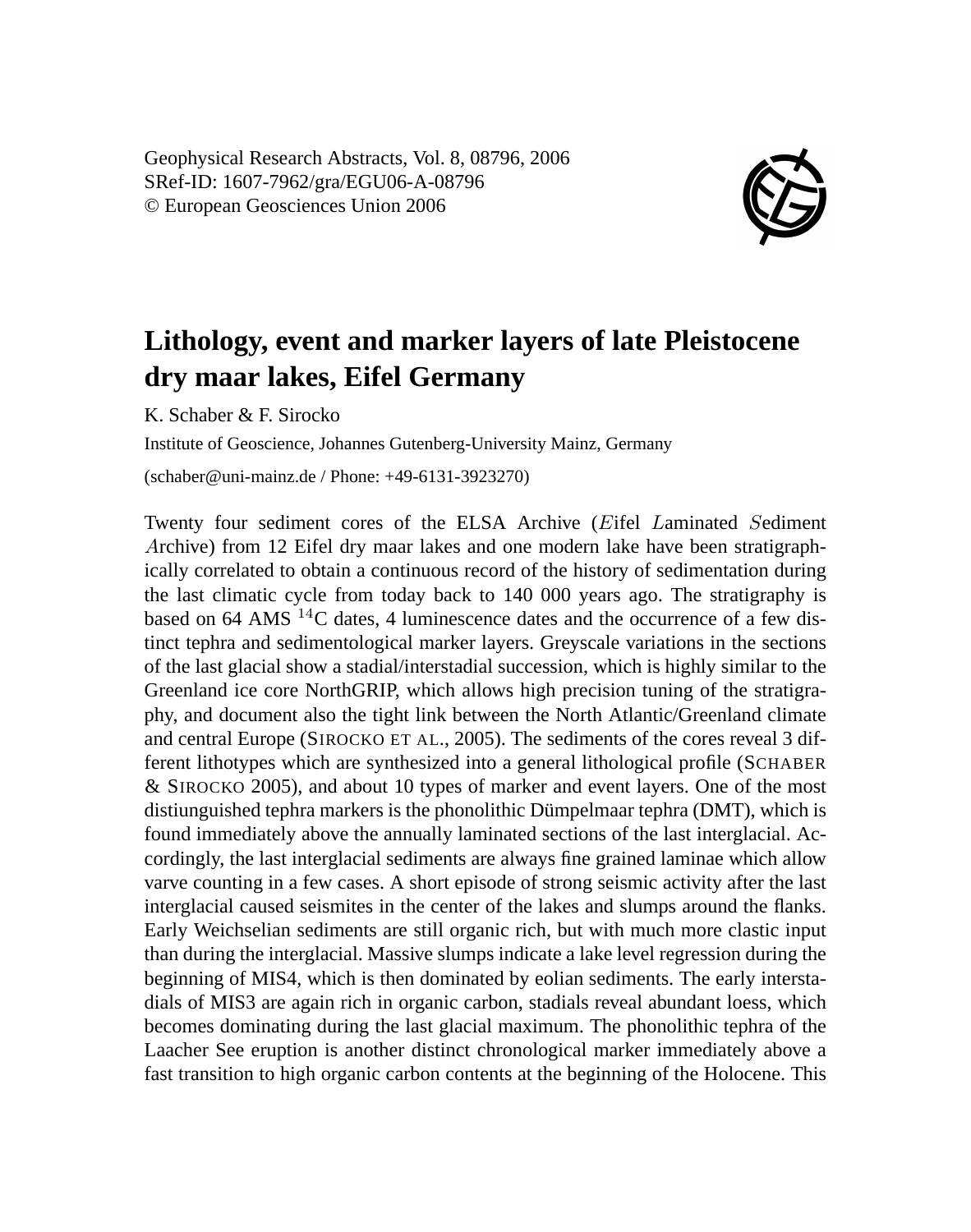Geophysical Research Abstracts, Vol. 8, 08796, 2006 SRef-ID: 1607-7962/gra/EGU06-A-08796 © European Geosciences Union 2006



## **Lithology, event and marker layers of late Pleistocene dry maar lakes, Eifel Germany**

K. Schaber & F. Sirocko

Institute of Geoscience, Johannes Gutenberg-University Mainz, Germany

(schaber@uni-mainz.de / Phone: +49-6131-3923270)

Twenty four sediment cores of the ELSA Archive (Eifel Laminated Sediment Archive) from 12 Eifel dry maar lakes and one modern lake have been stratigraphically correlated to obtain a continuous record of the history of sedimentation during the last climatic cycle from today back to 140 000 years ago. The stratigraphy is based on 64 AMS  $^{14}$ C dates, 4 luminescence dates and the occurrence of a few distinct tephra and sedimentological marker layers. Greyscale variations in the sections of the last glacial show a stadial/interstadial succession, which is highly similar to the Greenland ice core NorthGRIP, which allows high precision tuning of the stratigraphy, and document also the tight link between the North Atlantic/Greenland climate and central Europe (SIROCKO ET AL., 2005). The sediments of the cores reveal 3 different lithotypes which are synthesized into a general lithological profile (SCHABER & SIROCKO 2005), and about 10 types of marker and event layers. One of the most distiunguished tephra markers is the phonolithic Dümpelmaar tephra (DMT), which is found immediately above the annually laminated sections of the last interglacial. Accordingly, the last interglacial sediments are always fine grained laminae which allow varve counting in a few cases. A short episode of strong seismic activity after the last interglacial caused seismites in the center of the lakes and slumps around the flanks. Early Weichselian sediments are still organic rich, but with much more clastic input than during the interglacial. Massive slumps indicate a lake level regression during the beginning of MIS4, which is then dominated by eolian sediments. The early interstadials of MIS3 are again rich in organic carbon, stadials reveal abundant loess, which becomes dominating during the last glacial maximum. The phonolithic tephra of the Laacher See eruption is another distinct chronological marker immediately above a fast transition to high organic carbon contents at the beginning of the Holocene. This